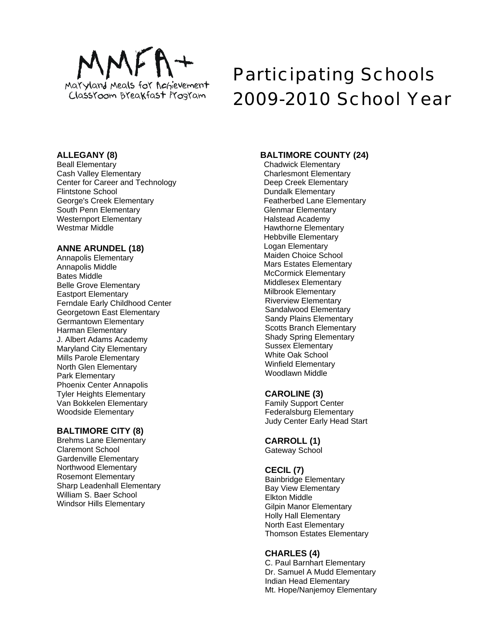

# Participating Schools 2009-2010 School Year

## **ALLEGANY (8)**

Beall Elementary Cash Valley Elementary Center for Career and Technology Flintstone School George's Creek Elementary South Penn Elementary Westernport Elementary Westmar Middle

## **ANNE ARUNDEL (18)**

Annapolis Elementary Annapolis Middle Bates Middle Belle Grove Elementary Eastport Elementary Ferndale Early Childhood Center Georgetown East Elementary Germantown Elementary Harman Elementary J. Albert Adams Academy Maryland City Elementary Mills Parole Elementary North Glen Elementary Park Elementary Phoenix Center Annapolis Tyler Heights Elementary Van Bokkelen Elementary Woodside Elementary

# **BALTIMORE CITY (8)**

Brehms Lane Elementary Claremont School Gardenville Elementary Northwood Elementary Rosemont Elementary Sharp Leadenhall Elementary William S. Baer School Windsor Hills Elementary

# **BALTIMORE COUNTY (24)**

Chadwick Elementary Charlesmont Elementary Deep Creek Elementary Dundalk Elementary Featherbed Lane Elementary Glenmar Elementary Halstead Academy Hawthorne Elementary Hebbville Elementary Logan Elementary Maiden Choice School Mars Estates Elementary McCormick Elementary Middlesex Elementary Milbrook Elementary Riverview Elementary Sandalwood Elementary Sandy Plains Elementary Scotts Branch Elementary Shady Spring Elementary Sussex Elementary White Oak School Winfield Elementary Woodlawn Middle

# **CAROLINE (3)**

Family Support Center Federalsburg Elementary Judy Center Early Head Start

# **CARROLL (1)**

Gateway School

# **CECIL (7)**

Bainbridge Elementary Bay View Elementary Elkton Middle Gilpin Manor Elementary Holly Hall Elementary North East Elementary Thomson Estates Elementary

# **CHARLES (4)**

C. Paul Barnhart Elementary Dr. Samuel A Mudd Elementary Indian Head Elementary Mt. Hope/Nanjemoy Elementary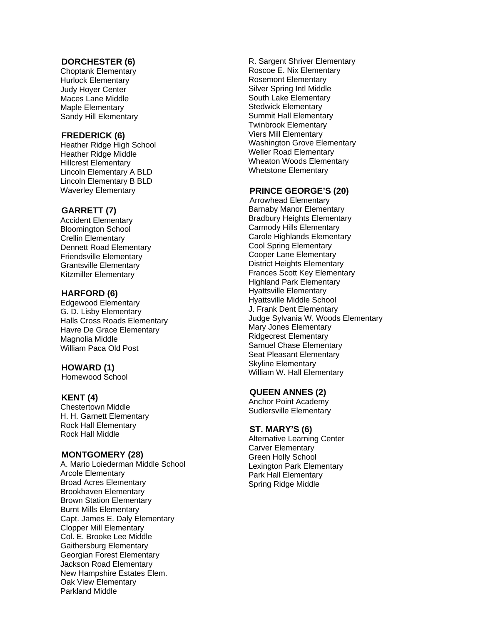#### **DORCHESTER (6)**

Choptank Elementary Hurlock Elementary Judy Hoyer Center Maces Lane Middle Maple Elementary Sandy Hill Elementary

## **FREDERICK (6)**

Heather Ridge High School Heather Ridge Middle Hillcrest Elementary Lincoln Elementary A BLD Lincoln Elementary B BLD Waverley Elementary

#### **GARRETT (7)**

Accident Elementary Bloomington School Crellin Elementary Dennett Road Elementary Friendsville Elementary Grantsville Elementary Kitzmiller Elementary

#### **HARFORD (6)**

Edgewood Elementary G. D. Lisby Elementary Halls Cross Roads Elementary Havre De Grace Elementary Magnolia Middle William Paca Old Post

#### **HOWARD (1)**

Homewood School

#### **KENT (4)**

Chestertown Middle H. H. Garnett Elementary Rock Hall Elementary Rock Hall Middle

#### **MONTGOMERY (28)**

A. Mario Loiederman Middle School Arcole Elementary Broad Acres Elementary Brookhaven Elementary Brown Station Elementary Burnt Mills Elementary Capt. James E. Daly Elementary Clopper Mill Elementary Col. E. Brooke Lee Middle Gaithersburg Elementary Georgian Forest Elementary Jackson Road Elementary New Hampshire Estates Elem. Oak View Elementary Parkland Middle

R. Sargent Shriver Elementary Roscoe E. Nix Elementary Rosemont Elementary Silver Spring Intl Middle South Lake Elementary Stedwick Elementary Summit Hall Elementary Twinbrook Elementary Viers Mill Elementary Washington Grove Elementary Weller Road Elementary Wheaton Woods Elementary Whetstone Elementary

# **PRINCE GEORGE'S (20)**

Arrowhead Elementary Barnaby Manor Elementary Bradbury Heights Elementary Carmody Hills Elementary Carole Highlands Elementary Cool Spring Elementary Cooper Lane Elementary District Heights Elementary Frances Scott Key Elementary Highland Park Elementary Hyattsville Elementary Hyattsville Middle School J. Frank Dent Elementary Judge Sylvania W. Woods Elementary Mary Jones Elementary Ridgecrest Elementary Samuel Chase Elementary Seat Pleasant Elementary Skyline Elementary William W. Hall Elementary

#### **QUEEN ANNES (2)**

Anchor Point Academy Sudlersville Elementary

#### **ST. MARY'S (6)**

Alternative Learning Center Carver Elementary Green Holly School Lexington Park Elementary Park Hall Elementary Spring Ridge Middle